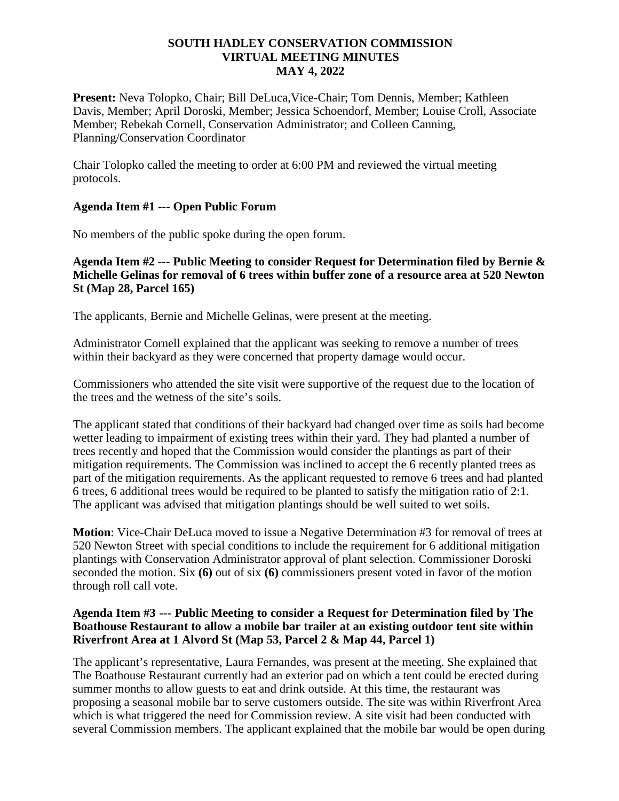# **SOUTH HADLEY CONSERVATION COMMISSION VIRTUAL MEETING MINUTES MAY 4, 2022**

**Present:** Neva Tolopko, Chair; Bill DeLuca,Vice-Chair; Tom Dennis, Member; Kathleen Davis, Member; April Doroski, Member; Jessica Schoendorf, Member; Louise Croll, Associate Member; Rebekah Cornell, Conservation Administrator; and Colleen Canning, Planning/Conservation Coordinator

Chair Tolopko called the meeting to order at 6:00 PM and reviewed the virtual meeting protocols.

# **Agenda Item #1 --- Open Public Forum**

No members of the public spoke during the open forum.

# **Agenda Item #2 --- Public Meeting to consider Request for Determination filed by Bernie & Michelle Gelinas for removal of 6 trees within buffer zone of a resource area at 520 Newton St (Map 28, Parcel 165)**

The applicants, Bernie and Michelle Gelinas, were present at the meeting.

Administrator Cornell explained that the applicant was seeking to remove a number of trees within their backyard as they were concerned that property damage would occur.

Commissioners who attended the site visit were supportive of the request due to the location of the trees and the wetness of the site's soils.

The applicant stated that conditions of their backyard had changed over time as soils had become wetter leading to impairment of existing trees within their yard. They had planted a number of trees recently and hoped that the Commission would consider the plantings as part of their mitigation requirements. The Commission was inclined to accept the 6 recently planted trees as part of the mitigation requirements. As the applicant requested to remove 6 trees and had planted 6 trees, 6 additional trees would be required to be planted to satisfy the mitigation ratio of 2:1. The applicant was advised that mitigation plantings should be well suited to wet soils.

**Motion**: Vice-Chair DeLuca moved to issue a Negative Determination #3 for removal of trees at 520 Newton Street with special conditions to include the requirement for 6 additional mitigation plantings with Conservation Administrator approval of plant selection. Commissioner Doroski seconded the motion. Six **(6)** out of six **(6)** commissioners present voted in favor of the motion through roll call vote.

### **Agenda Item #3 --- Public Meeting to consider a Request for Determination filed by The Boathouse Restaurant to allow a mobile bar trailer at an existing outdoor tent site within Riverfront Area at 1 Alvord St (Map 53, Parcel 2 & Map 44, Parcel 1)**

The applicant's representative, Laura Fernandes, was present at the meeting. She explained that The Boathouse Restaurant currently had an exterior pad on which a tent could be erected during summer months to allow guests to eat and drink outside. At this time, the restaurant was proposing a seasonal mobile bar to serve customers outside. The site was within Riverfront Area which is what triggered the need for Commission review. A site visit had been conducted with several Commission members. The applicant explained that the mobile bar would be open during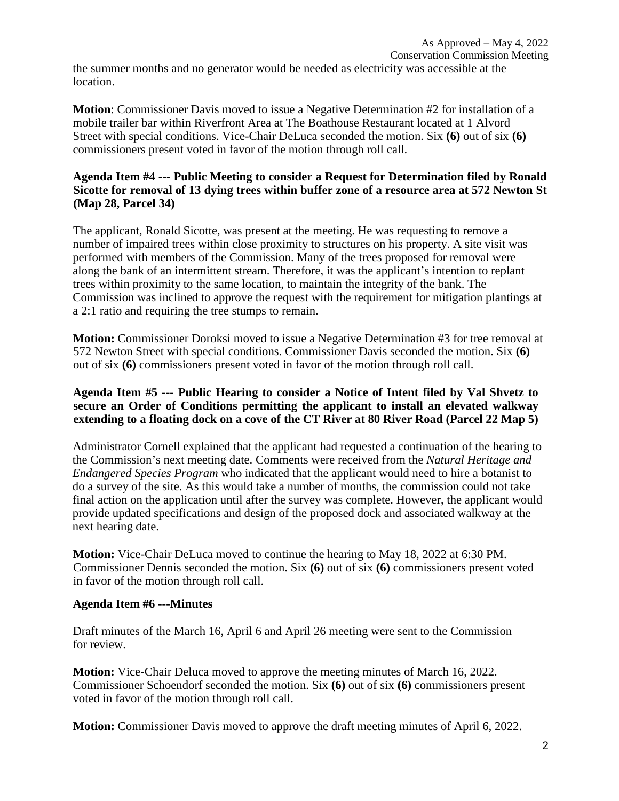the summer months and no generator would be needed as electricity was accessible at the location.

**Motion**: Commissioner Davis moved to issue a Negative Determination #2 for installation of a mobile trailer bar within Riverfront Area at The Boathouse Restaurant located at 1 Alvord Street with special conditions. Vice-Chair DeLuca seconded the motion. Six **(6)** out of six **(6)**  commissioners present voted in favor of the motion through roll call.

### **Agenda Item #4 --- Public Meeting to consider a Request for Determination filed by Ronald Sicotte for removal of 13 dying trees within buffer zone of a resource area at 572 Newton St (Map 28, Parcel 34)**

The applicant, Ronald Sicotte, was present at the meeting. He was requesting to remove a number of impaired trees within close proximity to structures on his property. A site visit was performed with members of the Commission. Many of the trees proposed for removal were along the bank of an intermittent stream. Therefore, it was the applicant's intention to replant trees within proximity to the same location, to maintain the integrity of the bank. The Commission was inclined to approve the request with the requirement for mitigation plantings at a 2:1 ratio and requiring the tree stumps to remain.

**Motion:** Commissioner Doroksi moved to issue a Negative Determination #3 for tree removal at 572 Newton Street with special conditions. Commissioner Davis seconded the motion. Six **(6)**  out of six **(6)** commissioners present voted in favor of the motion through roll call.

# **Agenda Item #5 --- Public Hearing to consider a Notice of Intent filed by Val Shvetz to secure an Order of Conditions permitting the applicant to install an elevated walkway extending to a floating dock on a cove of the CT River at 80 River Road (Parcel 22 Map 5)**

Administrator Cornell explained that the applicant had requested a continuation of the hearing to the Commission's next meeting date. Comments were received from the *Natural Heritage and Endangered Species Program* who indicated that the applicant would need to hire a botanist to do a survey of the site. As this would take a number of months, the commission could not take final action on the application until after the survey was complete. However, the applicant would provide updated specifications and design of the proposed dock and associated walkway at the next hearing date.

**Motion:** Vice-Chair DeLuca moved to continue the hearing to May 18, 2022 at 6:30 PM. Commissioner Dennis seconded the motion. Six **(6)** out of six **(6)** commissioners present voted in favor of the motion through roll call.

# **Agenda Item #6 ---Minutes**

Draft minutes of the March 16, April 6 and April 26 meeting were sent to the Commission for review.

**Motion:** Vice-Chair Deluca moved to approve the meeting minutes of March 16, 2022. Commissioner Schoendorf seconded the motion. Six **(6)** out of six **(6)** commissioners present voted in favor of the motion through roll call.

**Motion:** Commissioner Davis moved to approve the draft meeting minutes of April 6, 2022.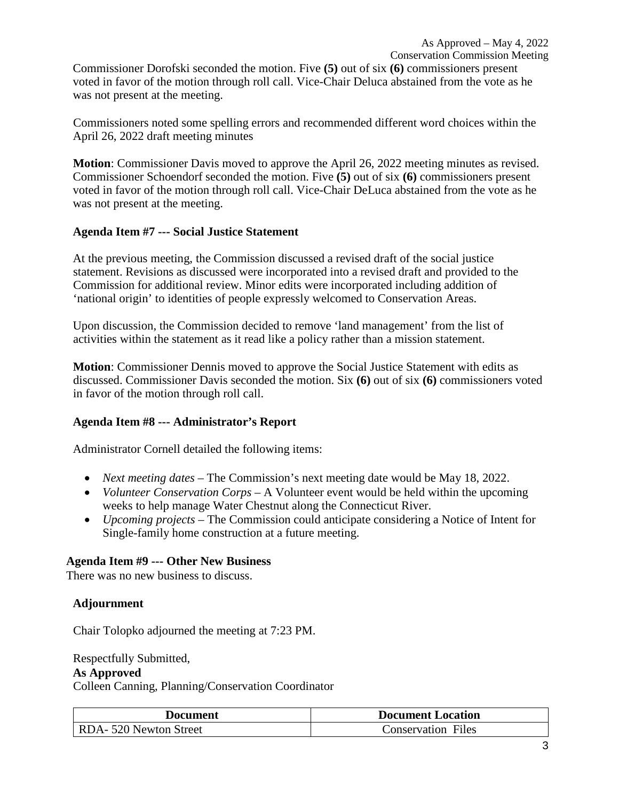Commissioner Dorofski seconded the motion. Five **(5)** out of six **(6)** commissioners present voted in favor of the motion through roll call. Vice-Chair Deluca abstained from the vote as he was not present at the meeting.

Commissioners noted some spelling errors and recommended different word choices within the April 26, 2022 draft meeting minutes

**Motion**: Commissioner Davis moved to approve the April 26, 2022 meeting minutes as revised. Commissioner Schoendorf seconded the motion. Five **(5)** out of six **(6)** commissioners present voted in favor of the motion through roll call. Vice-Chair DeLuca abstained from the vote as he was not present at the meeting.

# **Agenda Item #7 --- Social Justice Statement**

At the previous meeting, the Commission discussed a revised draft of the social justice statement. Revisions as discussed were incorporated into a revised draft and provided to the Commission for additional review. Minor edits were incorporated including addition of 'national origin' to identities of people expressly welcomed to Conservation Areas.

Upon discussion, the Commission decided to remove 'land management' from the list of activities within the statement as it read like a policy rather than a mission statement.

**Motion**: Commissioner Dennis moved to approve the Social Justice Statement with edits as discussed. Commissioner Davis seconded the motion. Six **(6)** out of six **(6)** commissioners voted in favor of the motion through roll call.

# **Agenda Item #8 --- Administrator's Report**

Administrator Cornell detailed the following items:

- *Next meeting dates* The Commission's next meeting date would be May 18, 2022.
- *Volunteer Conservation Corps* A Volunteer event would be held within the upcoming weeks to help manage Water Chestnut along the Connecticut River.
- *Upcoming projects*  The Commission could anticipate considering a Notice of Intent for Single-family home construction at a future meeting.

### **Agenda Item #9 --- Other New Business**

There was no new business to discuss.

### **Adjournment**

Chair Tolopko adjourned the meeting at 7:23 PM.

Respectfully Submitted,

#### **As Approved**

Colleen Canning, Planning/Conservation Coordinator

| Document              | <b>Document Location</b>  |
|-----------------------|---------------------------|
| RDA-520 Newton Street | <b>Conservation Files</b> |